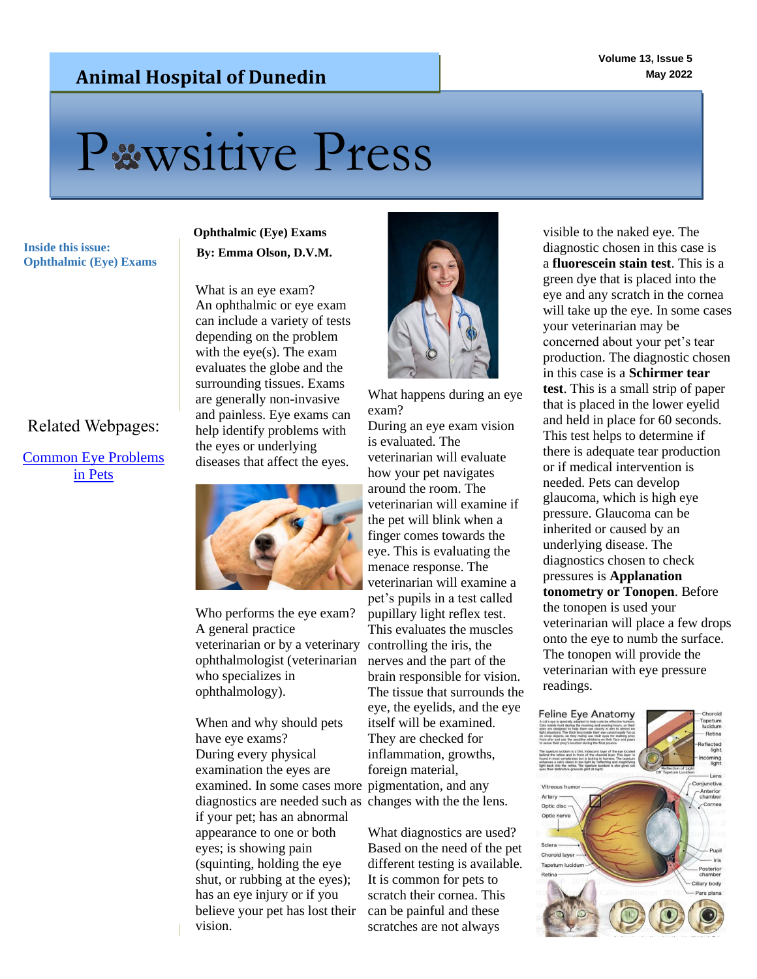### **Animal Hospital of Dunedin**

# Pxwsitive Press

**Inside this issue:**<br>**By: Emma Olson, D.V.M. Ophthalmic (Eye) Exams**

#### Related Webpages:

#### [Common Eye Problems](https://www.aspcapetinsurance.com/resources/top-eye-problems-for-dogs/)  [in Pets](https://www.aspcapetinsurance.com/resources/top-eye-problems-for-dogs/)

## **Ophthalmic (Eye) Exams**

What is an eye exam? An ophthalmic or eye exam can include a variety of tests depending on the problem with the eye(s). The exam evaluates the globe and the surrounding tissues. Exams are generally non-invasive and painless. Eye exams can help identify problems with the eyes or underlying diseases that affect the eyes.



Who performs the eye exam? A general practice veterinarian or by a veterinary ophthalmologist (veterinarian who specializes in ophthalmology).

examined. In some cases more pigmentation, and any diagnostics are needed such as changes with the the lens. When and why should pets have eye exams? During every physical examination the eyes are if your pet; has an abnormal appearance to one or both eyes; is showing pain (squinting, holding the eye shut, or rubbing at the eyes); has an eye injury or if you believe your pet has lost their vision.



What happens during an eye exam?

During an eye exam vision is evaluated. The veterinarian will evaluate how your pet navigates around the room. The veterinarian will examine if the pet will blink when a finger comes towards the eye. This is evaluating the menace response. The veterinarian will examine a pet's pupils in a test called pupillary light reflex test. This evaluates the muscles controlling the iris, the nerves and the part of the brain responsible for vision. The tissue that surrounds the eye, the eyelids, and the eye itself will be examined. They are checked for inflammation, growths, foreign material,

What diagnostics are used? Based on the need of the pet different testing is available. It is common for pets to scratch their cornea. This can be painful and these scratches are not always

visible to the naked eye. The diagnostic chosen in this case is a **fluorescein stain test**. This is a green dye that is placed into the eye and any scratch in the cornea will take up the eye. In some cases your veterinarian may be concerned about your pet's tear production. The diagnostic chosen in this case is a **Schirmer tear test**. This is a small strip of paper that is placed in the lower eyelid and held in place for 60 seconds. This test helps to determine if there is adequate tear production or if medical intervention is needed. Pets can develop glaucoma, which is high eye pressure. Glaucoma can be inherited or caused by an underlying disease. The diagnostics chosen to check pressures is **Applanation tonometry or Tonopen**. Before the tonopen is used your veterinarian will place a few drops onto the eye to numb the surface. The tonopen will provide the veterinarian with eye pressure readings.